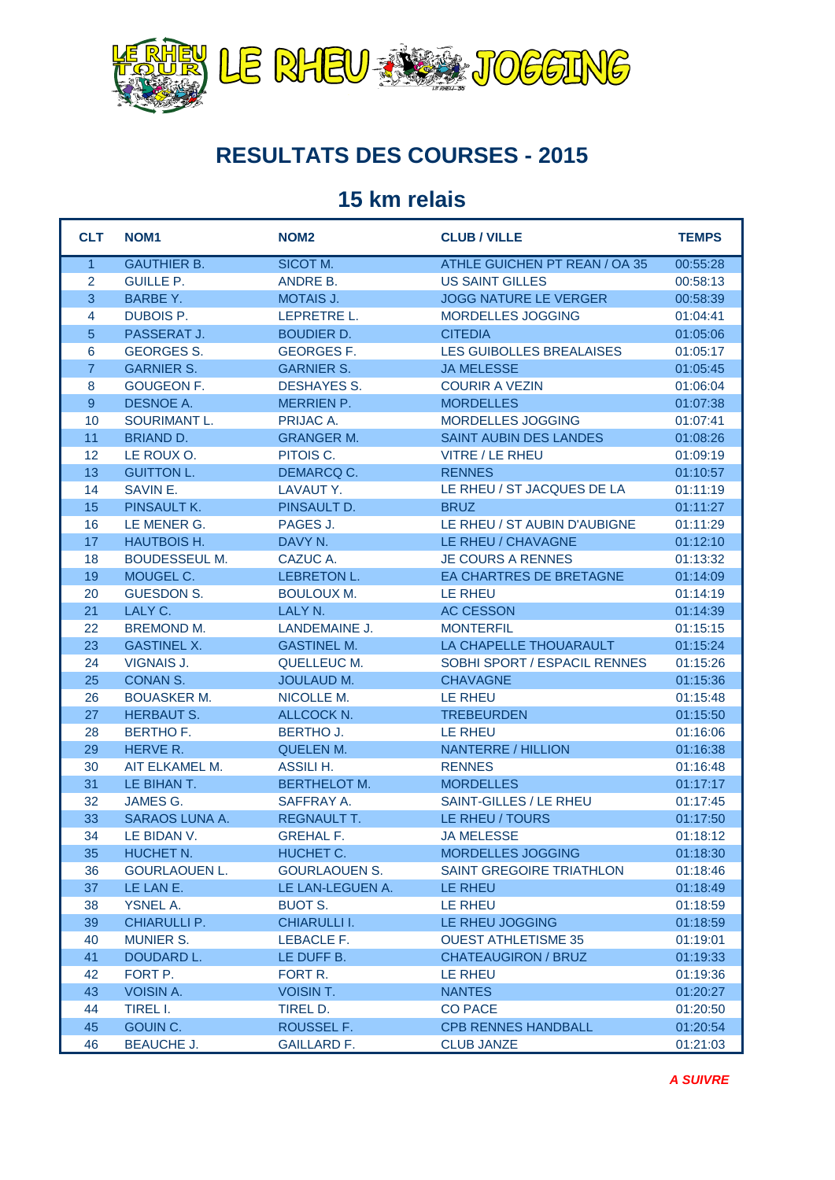

## **RESULTATS DES COURSES - 2015**

## **15 km relais**

| <b>CLT</b>     | NOM <sub>1</sub>     | NOM <sub>2</sub>     | <b>CLUB / VILLE</b>                  | <b>TEMPS</b> |
|----------------|----------------------|----------------------|--------------------------------------|--------------|
| $\mathbf{1}$   | <b>GAUTHIER B.</b>   | SICOT M.             | <b>ATHLE GUICHEN PT REAN / OA 35</b> | 00:55:28     |
| $\overline{2}$ | <b>GUILLE P.</b>     | ANDRE B.             | <b>US SAINT GILLES</b>               | 00:58:13     |
| 3              | <b>BARBE Y.</b>      | <b>MOTAIS J.</b>     | <b>JOGG NATURE LE VERGER</b>         | 00:58:39     |
| 4              | DUBOIS P.            | LEPRETRE L.          | MORDELLES JOGGING                    | 01:04:41     |
| $\overline{5}$ | PASSERAT J.          | <b>BOUDIER D.</b>    | <b>CITEDIA</b>                       | 01:05:06     |
| 6              | <b>GEORGES S.</b>    | <b>GEORGES F.</b>    | <b>LES GUIBOLLES BREALAISES</b>      | 01:05:17     |
| $\overline{7}$ | <b>GARNIER S.</b>    | <b>GARNIER S.</b>    | <b>JA MELESSE</b>                    | 01:05:45     |
| 8              | <b>GOUGEON F.</b>    | <b>DESHAYES S.</b>   | <b>COURIR A VEZIN</b>                | 01:06:04     |
| 9              | DESNOE A.            | <b>MERRIEN P.</b>    | <b>MORDELLES</b>                     | 01:07:38     |
| 10             | SOURIMANT L.         | PRIJAC A.            | MORDELLES JOGGING                    | 01:07:41     |
| 11             | <b>BRIAND D.</b>     | <b>GRANGER M.</b>    | SAINT AUBIN DES LANDES               | 01:08:26     |
| 12             | LE ROUX O.           | PITOIS C.            | <b>VITRE / LE RHEU</b>               | 01:09:19     |
| 13             | <b>GUITTON L.</b>    | DEMARCQ C.           | <b>RENNES</b>                        | 01:10:57     |
| 14             | SAVIN E.             | LAVAUT Y.            | LE RHEU / ST JACQUES DE LA           | 01:11:19     |
| 15             | PINSAULT K.          | PINSAULT D.          | <b>BRUZ</b>                          | 01:11:27     |
| 16             | LE MENER G.          | PAGES J.             | LE RHEU / ST AUBIN D'AUBIGNE         | 01:11:29     |
| 17             | <b>HAUTBOIS H.</b>   | DAVY N.              | LE RHEU / CHAVAGNE                   | 01:12:10     |
| 18             | <b>BOUDESSEUL M.</b> | CAZUC A.             | <b>JE COURS A RENNES</b>             | 01:13:32     |
| 19             | MOUGEL C.            | <b>LEBRETON L.</b>   | EA CHARTRES DE BRETAGNE              | 01:14:09     |
| 20             | <b>GUESDON S.</b>    | <b>BOULOUX M.</b>    | LE RHEU                              | 01:14:19     |
| 21             | LALY C.              | LALY N.              | <b>AC CESSON</b>                     | 01:14:39     |
| 22             | <b>BREMOND M.</b>    | LANDEMAINE J.        | <b>MONTERFIL</b>                     | 01:15:15     |
| 23             | <b>GASTINEL X.</b>   | <b>GASTINEL M.</b>   | LA CHAPELLE THOUARAULT               | 01:15:24     |
| 24             | <b>VIGNAIS J.</b>    | QUELLEUC M.          | SOBHI SPORT / ESPACIL RENNES         | 01:15:26     |
| 25             | CONAN S.             | <b>JOULAUD M.</b>    | <b>CHAVAGNE</b>                      | 01:15:36     |
| 26             | <b>BOUASKER M.</b>   | NICOLLE M.           | <b>LE RHEU</b>                       | 01:15:48     |
| 27             | <b>HERBAUT S.</b>    | ALLCOCK N.           | <b>TREBEURDEN</b>                    | 01:15:50     |
| 28             | <b>BERTHOF.</b>      | <b>BERTHO J.</b>     | LE RHEU                              | 01:16:06     |
| 29             | HERVE R.             | <b>QUELEN M.</b>     | <b>NANTERRE / HILLION</b>            | 01:16:38     |
| 30             | AIT ELKAMEL M.       | ASSILI H.            | <b>RENNES</b>                        | 01:16:48     |
| 31             | LE BIHAN T.          | <b>BERTHELOT M.</b>  | <b>MORDELLES</b>                     | 01:17:17     |
| 32             | JAMES G.             | SAFFRAY A.           | SAINT-GILLES / LE RHEU               | 01:17:45     |
| 33             | SARAOS LUNA A.       | <b>REGNAULT T.</b>   | LE RHEU / TOURS                      | 01:17:50     |
| 34             | LE BIDAN V.          | <b>GREHAL F.</b>     | <b>JA MELESSE</b>                    | 01:18:12     |
| 35             | HUCHET N.            | HUCHET C.            | MORDELLES JOGGING                    | 01:18:30     |
| 36             | <b>GOURLAOUEN L.</b> | <b>GOURLAOUEN S.</b> | SAINT GREGOIRE TRIATHLON             | 01:18:46     |
| 37             | LE LAN E.            | LE LAN-LEGUEN A.     | LE RHEU                              | 01:18:49     |
| 38             | <b>YSNEL A.</b>      | BUOT S.              | LE RHEU                              | 01:18:59     |
| 39             | CHIARULLI P.         | CHIARULLI I.         | LE RHEU JOGGING                      | 01:18:59     |
| 40             | <b>MUNIER S.</b>     | LEBACLE F.           | <b>OUEST ATHLETISME 35</b>           | 01:19:01     |
| 41             | DOUDARD L.           | LE DUFF B.           | <b>CHATEAUGIRON / BRUZ</b>           | 01:19:33     |
| 42             | FORT P.              | FORT R.              | LE RHEU                              | 01:19:36     |
| 43             | <b>VOISIN A.</b>     | <b>VOISIN T.</b>     | <b>NANTES</b>                        | 01:20:27     |
| 44             | TIREL I.             | TIREL D.             | <b>CO PACE</b>                       | 01:20:50     |
| 45             | GOUIN C.             | ROUSSEL F.           | <b>CPB RENNES HANDBALL</b>           | 01:20:54     |
| 46             | <b>BEAUCHE J.</b>    | <b>GAILLARD F.</b>   | <b>CLUB JANZE</b>                    | 01:21:03     |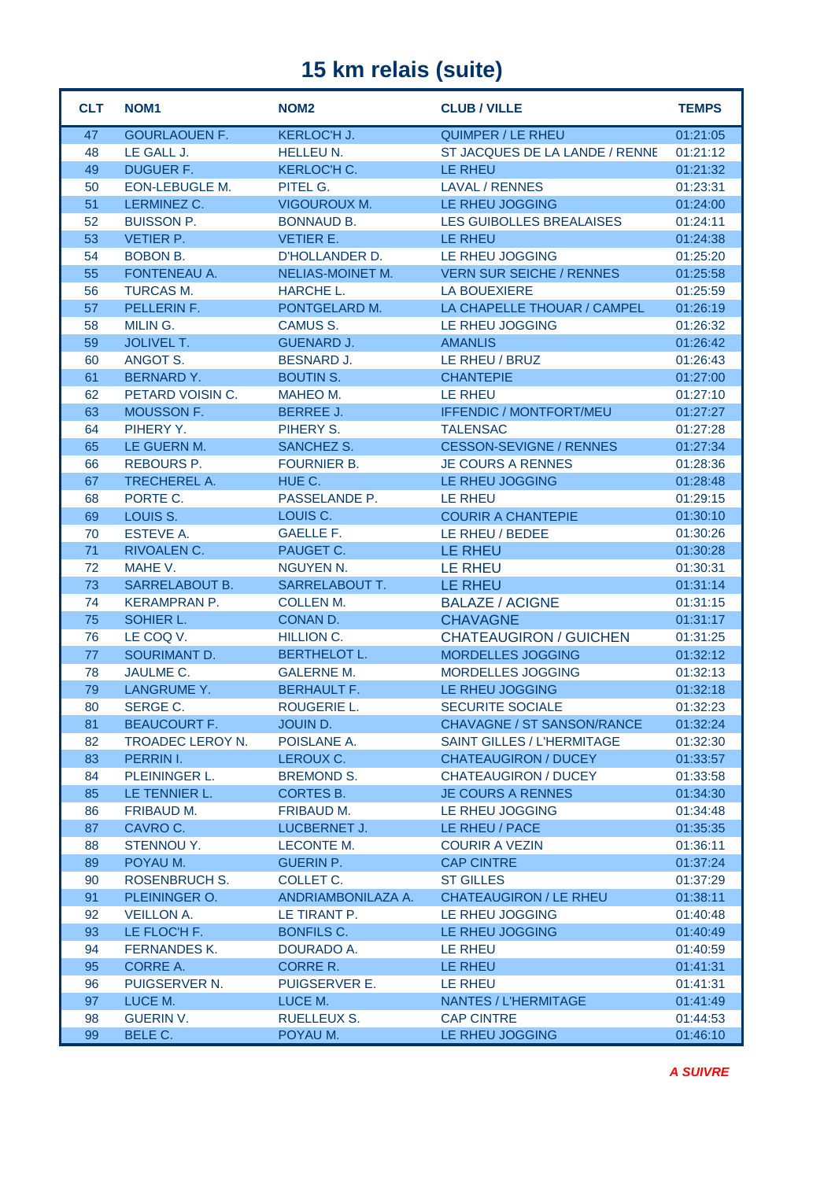## **15 km relais (suite)**

| <b>CLT</b> | NOM <sub>1</sub>              | NOM <sub>2</sub>               | <b>CLUB / VILLE</b>               | <b>TEMPS</b>         |
|------------|-------------------------------|--------------------------------|-----------------------------------|----------------------|
| 47         | <b>GOURLAOUEN F.</b>          | <b>KERLOC'H J.</b>             | QUIMPER / LE RHEU                 | 01:21:05             |
| 48         | LE GALL J.                    | <b>HELLEU N.</b>               | ST JACQUES DE LA LANDE / RENNE    | 01:21:12             |
| 49         | <b>DUGUER F.</b>              | <b>KERLOC'H C.</b>             | LE RHEU                           | 01:21:32             |
| 50         | <b>EON-LEBUGLE M.</b>         | PITEL G.                       | LAVAL / RENNES                    | 01:23:31             |
| 51         | LERMINEZ C.                   | <b>VIGOUROUX M.</b>            | LE RHEU JOGGING                   | 01:24:00             |
| 52         | <b>BUISSON P.</b>             | <b>BONNAUD B.</b>              | LES GUIBOLLES BREALAISES          | 01:24:11             |
| 53         | <b>VETIER P.</b>              | <b>VETIER E.</b>               | LE RHEU                           | 01:24:38             |
| 54         | <b>BOBON B.</b>               | D'HOLLANDER D.                 | LE RHEU JOGGING                   | 01:25:20             |
| 55         | FONTENEAU A.                  | NELIAS-MOINET M.               | <b>VERN SUR SEICHE / RENNES</b>   | 01:25:58             |
| 56         | <b>TURCAS M.</b>              | HARCHE L.                      | <b>LA BOUEXIERE</b>               | 01:25:59             |
| 57         | PELLERIN F.                   | PONTGELARD M.                  | LA CHAPELLE THOUAR / CAMPEL       | 01:26:19             |
| 58         | MILIN G.                      | CAMUS S.                       | LE RHEU JOGGING                   | 01:26:32             |
| 59         | <b>JOLIVEL T.</b>             | <b>GUENARD J.</b>              | <b>AMANLIS</b>                    | 01:26:42             |
| 60         | ANGOT S.                      | <b>BESNARD J.</b>              | LE RHEU / BRUZ                    | 01:26:43             |
| 61         | <b>BERNARD Y.</b>             | <b>BOUTIN S.</b>               | <b>CHANTEPIE</b>                  | 01:27:00             |
| 62         | PETARD VOISIN C.              | MAHEO M.                       | LE RHEU                           | 01:27:10             |
| 63         | MOUSSON F.                    | <b>BERREE J.</b>               | <b>IFFENDIC / MONTFORT/MEU</b>    | 01:27:27             |
| 64         | PIHERY Y.                     | PIHERY S.                      | <b>TALENSAC</b>                   | 01:27:28             |
| 65         | LE GUERN M.                   | SANCHEZ S.                     | <b>CESSON-SEVIGNE / RENNES</b>    | 01:27:34             |
| 66         | <b>REBOURS P.</b>             | <b>FOURNIER B.</b>             | <b>JE COURS A RENNES</b>          | 01:28:36             |
| 67         | <b>TRECHEREL A.</b>           | HUE C.                         | LE RHEU JOGGING                   | 01:28:48             |
| 68         | PORTE C.                      | PASSELANDE P.                  | LE RHEU                           | 01:29:15             |
| 69         | LOUIS S.                      | LOUIS C.                       | <b>COURIR A CHANTEPIE</b>         | 01:30:10             |
| 70         | <b>ESTEVE A.</b>              | <b>GAELLE F.</b>               | LE RHEU / BEDEE                   | 01:30:26             |
| 71         | RIVOALEN C.                   | PAUGET C.                      | <b>LE RHEU</b>                    | 01:30:28             |
| 72         | MAHE V.                       | <b>NGUYEN N.</b>               | LE RHEU                           | 01:30:31             |
| 73         | SARRELABOUT B.                | <b>SARRELABOUT T.</b>          | LE RHEU                           | 01:31:14             |
| 74         | <b>KERAMPRAN P.</b>           | <b>COLLEN M.</b>               | <b>BALAZE / ACIGNE</b>            | 01:31:15             |
| 75         | SOHIER L.                     | CONAN D.                       | <b>CHAVAGNE</b>                   | 01:31:17             |
| 76         | LE COQ V.                     | <b>HILLION C.</b>              | <b>CHATEAUGIRON / GUICHEN</b>     | 01:31:25             |
| 77         | SOURIMANT D.                  | <b>BERTHELOT L.</b>            | MORDELLES JOGGING                 | 01:32:12             |
| 78         | JAULME C.                     | <b>GALERNE M.</b>              | MORDELLES JOGGING                 | 01:32:13             |
| 79         | LANGRUME Y.                   | <b>BERHAULT F.</b>             | LE RHEU JOGGING                   | 01:32:18             |
| 80         | SERGE C.                      | <b>ROUGERIE L.</b>             | <b>SECURITE SOCIALE</b>           | 01:32:23             |
| 81         | <b>BEAUCOURT F.</b>           | JOUIN D.                       | CHAVAGNE / ST SANSON/RANCE        | 01:32:24             |
| 82         | TROADEC LEROY N.              | POISLANE A.                    | <b>SAINT GILLES / L'HERMITAGE</b> | 01:32:30             |
| 83         | PERRIN I.                     | LEROUX C.                      | <b>CHATEAUGIRON / DUCEY</b>       | 01:33:57             |
| 84         | PLEININGER L.                 | BREMOND S.                     | <b>CHATEAUGIRON / DUCEY</b>       | 01:33:58             |
| 85         | LE TENNIER L.                 | CORTES B.<br><b>FRIBAUD M.</b> | <b>JE COURS A RENNES</b>          | 01:34:30             |
| 86<br>87   | <b>FRIBAUD M.</b><br>CAVRO C. | <b>LUCBERNET J.</b>            | LE RHEU JOGGING<br>LE RHEU / PACE | 01:34:48<br>01:35:35 |
| 88         | STENNOU Y.                    | <b>LECONTE M.</b>              | <b>COURIR A VEZIN</b>             |                      |
| 89         | POYAU M.                      | <b>GUERIN P.</b>               | <b>CAP CINTRE</b>                 | 01:36:11<br>01:37:24 |
| 90         | <b>ROSENBRUCH S.</b>          | COLLET C.                      | <b>ST GILLES</b>                  | 01:37:29             |
| 91         | PLEININGER O.                 | ANDRIAMBONILAZA A.             | <b>CHATEAUGIRON / LE RHEU</b>     | 01:38:11             |
| 92         | <b>VEILLON A.</b>             | LE TIRANT P.                   | LE RHEU JOGGING                   | 01:40:48             |
| 93         | LE FLOC'H F.                  | BONFILS C.                     | LE RHEU JOGGING                   | 01:40:49             |
| 94         | <b>FERNANDES K.</b>           | DOURADO A.                     | LE RHEU                           | 01:40:59             |
| 95         | <b>CORRE A.</b>               | CORRE R.                       | LE RHEU                           | 01:41:31             |
| 96         | PUIGSERVER N.                 | PUIGSERVER E.                  | LE RHEU                           | 01:41:31             |
| 97         | LUCE M.                       | LUCE M.                        | NANTES / L'HERMITAGE              | 01:41:49             |
| 98         | <b>GUERIN V.</b>              | <b>RUELLEUX S.</b>             | <b>CAP CINTRE</b>                 | 01:44:53             |
| 99         | BELE C.                       | POYAU M.                       | LE RHEU JOGGING                   | 01:46:10             |